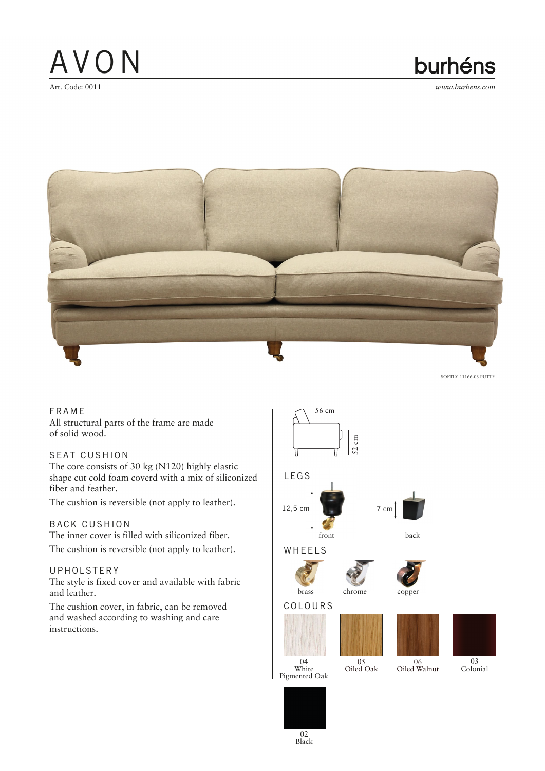burhéns



SOFTLY 11166-03 PUTTY

FRAME All structural parts of the frame are made of solid wood.

### SEAT CUSHION

The core consists of 30 kg (N120) highly elastic shape cut cold foam coverd with a mix of siliconized fiber and feather.

The cushion is reversible (not apply to leather).

### BACK CUSHION

The inner cover is filled with siliconized fiber. The cushion is reversible (not apply to leather).

### UPHOLSTERY

The style is fixed cover and available with fabric and leather.

 The cushion cover, in fabric, can be removed and washed according to washing and care instructions.



02 Black